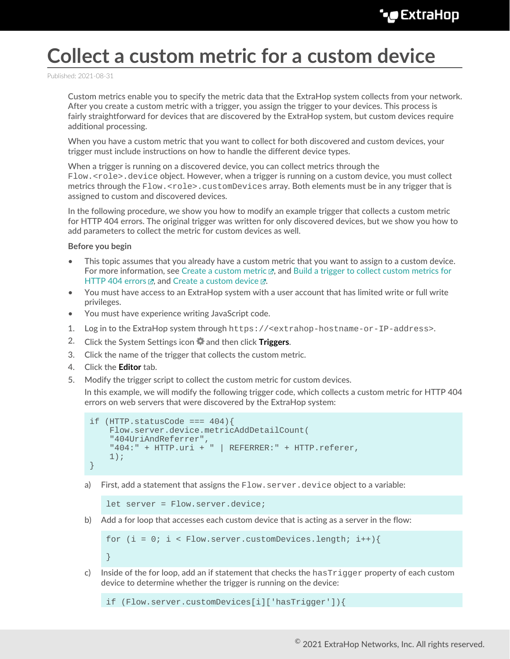## **Collect a custom metric for a custom device**

Published: 2021-08-31

Custom metrics enable you to specify the metric data that the ExtraHop system collects from your network. After you create a custom metric with a trigger, you assign the trigger to your devices. This process is fairly straightforward for devices that are discovered by the ExtraHop system, but custom devices require additional processing.

When you have a custom metric that you want to collect for both discovered and custom devices, your trigger must include instructions on how to handle the different device types.

When a trigger is running on a discovered device, you can collect metrics through the Flow.<role>.device object. However, when a trigger is running on a custom device, you must collect metrics through the  $Flow$ .  $\text{crole}$ ,  $\text{customDevices}$  array. Both elements must be in any trigger that is assigned to custom and discovered devices.

In the following procedure, we show you how to modify an example trigger that collects a custom metric for HTTP 404 errors. The original trigger was written for only discovered devices, but we show you how to add parameters to collect the metric for custom devices as well.

## **Before you begin**

- This topic assumes that you already have a custom metric that you want to assign to a custom device. For more information, see Create a custom metric  $\mathbb{F}_q$ , and [Build a trigger to collect custom metrics for](https://docs.extrahop.com/8.5/walkthrough-trigger) [HTTP 404 errors](https://docs.extrahop.com/8.5/walkthrough-trigger)  $\mathbb Z$ , and [Create a custom device](https://docs.extrahop.com/8.5/create-custom-device)  $\mathbb Z$ .
- You must have access to an ExtraHop system with a user account that has limited write or full write privileges.
- You must have experience writing JavaScript code.
- 1. Log in to the ExtraHop system through https://<extrahop-hostname-or-IP-address>.
- 2. Click the System Settings icon and then click **Triggers**.
- 3. Click the name of the trigger that collects the custom metric.
- 4. Click the **Editor** tab.

}

5. Modify the trigger script to collect the custom metric for custom devices.

In this example, we will modify the following trigger code, which collects a custom metric for HTTP 404 errors on web servers that were discovered by the ExtraHop system:

```
if (HTTP. statusCode == = 404) Flow.server.device.metricAddDetailCount(
     "404UriAndReferrer",
     "404:" + HTTP.uri + " | REFERRER:" + HTTP.referer,
     1);
}
```
a) First, add a statement that assigns the Flow.server.device object to a variable:

```
let server = Flow.server.device;
```
b) Add a for loop that accesses each custom device that is acting as a server in the flow:

```
for (i = 0; i < Flow.server.customDevices.length; i++){
```
c) Inside of the for loop, add an if statement that checks the hasTrigger property of each custom device to determine whether the trigger is running on the device:

if (Flow.server.customDevices[i]['hasTrigger']){